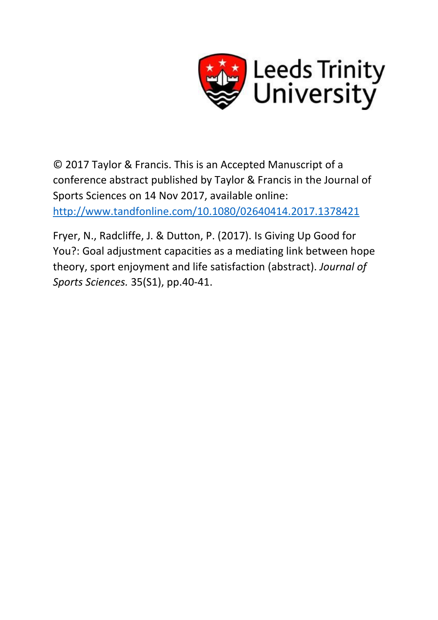

© 2017 Taylor & Francis. This is an Accepted Manuscript of a conference abstract published by Taylor & Francis in the Journal of Sports Sciences on 14 Nov 2017, available online: <http://www.tandfonline.com/10.1080/02640414.2017.1378421>

Fryer, N., Radcliffe, J. & Dutton, P. (2017). Is Giving Up Good for You?: Goal adjustment capacities as a mediating link between hope theory, sport enjoyment and life satisfaction (abstract). *Journal of Sports Sciences.* 35(S1), pp.40-41.